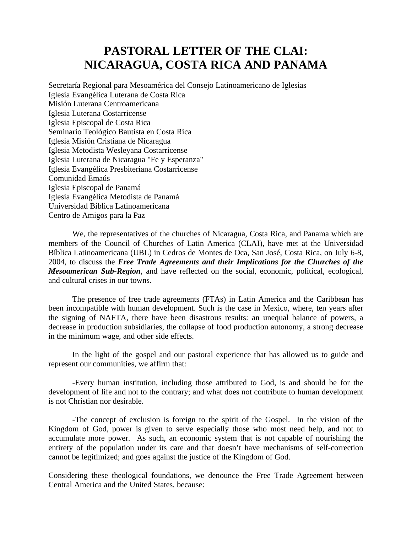# **PASTORAL LETTER OF THE CLAI: NICARAGUA, COSTA RICA AND PANAMA**

Secretaría Regional para Mesoamérica del Consejo Latinoamericano de Iglesias Iglesia Evangélica Luterana de Costa Rica Misión Luterana Centroamericana Iglesia Luterana Costarricense Iglesia Episcopal de Costa Rica Seminario Teológico Bautista en Costa Rica Iglesia Misión Cristiana de Nicaragua Iglesia Metodista Wesleyana Costarricense Iglesia Luterana de Nicaragua "Fe y Esperanza" Iglesia Evangélica Presbiteriana Costarricense Comunidad Emaús Iglesia Episcopal de Panamá Iglesia Evangélica Metodista de Panamá Universidad Bíblica Latinoamericana Centro de Amigos para la Paz

We, the representatives of the churches of Nicaragua, Costa Rica, and Panama which are members of the Council of Churches of Latin America (CLAI), have met at the Universidad Bíblica Latinoamericana (UBL) in Cedros de Montes de Oca, San José, Costa Rica, on July 6-8, 2004, to discuss the *Free Trade Agreements and their Implications for the Churches of the Mesoamerican Sub-Region*, and have reflected on the social, economic, political, ecological, and cultural crises in our towns.

The presence of free trade agreements (FTAs) in Latin America and the Caribbean has been incompatible with human development. Such is the case in Mexico, where, ten years after the signing of NAFTA, there have been disastrous results: an unequal balance of powers, a decrease in production subsidiaries, the collapse of food production autonomy, a strong decrease in the minimum wage, and other side effects.

In the light of the gospel and our pastoral experience that has allowed us to guide and represent our communities, we affirm that:

-Every human institution, including those attributed to God, is and should be for the development of life and not to the contrary; and what does not contribute to human development is not Christian nor desirable.

-The concept of exclusion is foreign to the spirit of the Gospel. In the vision of the Kingdom of God, power is given to serve especially those who most need help, and not to accumulate more power. As such, an economic system that is not capable of nourishing the entirety of the population under its care and that doesn't have mechanisms of self-correction cannot be legitimized; and goes against the justice of the Kingdom of God.

Considering these theological foundations, we denounce the Free Trade Agreement between Central America and the United States, because: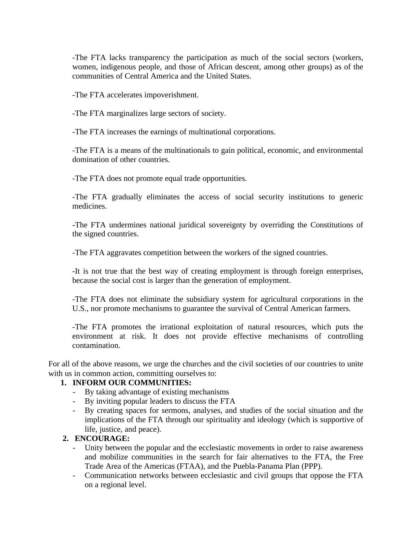-The FTA lacks transparency the participation as much of the social sectors (workers, women, indigenous people, and those of African descent, among other groups) as of the communities of Central America and the United States.

-The FTA accelerates impoverishment.

-The FTA marginalizes large sectors of society.

-The FTA increases the earnings of multinational corporations.

-The FTA is a means of the multinationals to gain political, economic, and environmental domination of other countries.

-The FTA does not promote equal trade opportunities.

-The FTA gradually eliminates the access of social security institutions to generic medicines.

-The FTA undermines national juridical sovereignty by overriding the Constitutions of the signed countries.

-The FTA aggravates competition between the workers of the signed countries.

-It is not true that the best way of creating employment is through foreign enterprises, because the social cost is larger than the generation of employment.

-The FTA does not eliminate the subsidiary system for agricultural corporations in the U.S., nor promote mechanisms to guarantee the survival of Central American farmers.

-The FTA promotes the irrational exploitation of natural resources, which puts the environment at risk. It does not provide effective mechanisms of controlling contamination.

For all of the above reasons, we urge the churches and the civil societies of our countries to unite with us in common action, committing ourselves to:

#### **1. INFORM OUR COMMUNITIES:**

- By taking advantage of existing mechanisms
- By inviting popular leaders to discuss the FTA
- By creating spaces for sermons, analyses, and studies of the social situation and the implications of the FTA through our spirituality and ideology (which is supportive of life, justice, and peace).

### **2. ENCOURAGE:**

- Unity between the popular and the ecclesiastic movements in order to raise awareness and mobilize communities in the search for fair alternatives to the FTA, the Free Trade Area of the Americas (FTAA), and the Puebla-Panama Plan (PPP).
- Communication networks between ecclesiastic and civil groups that oppose the FTA on a regional level.